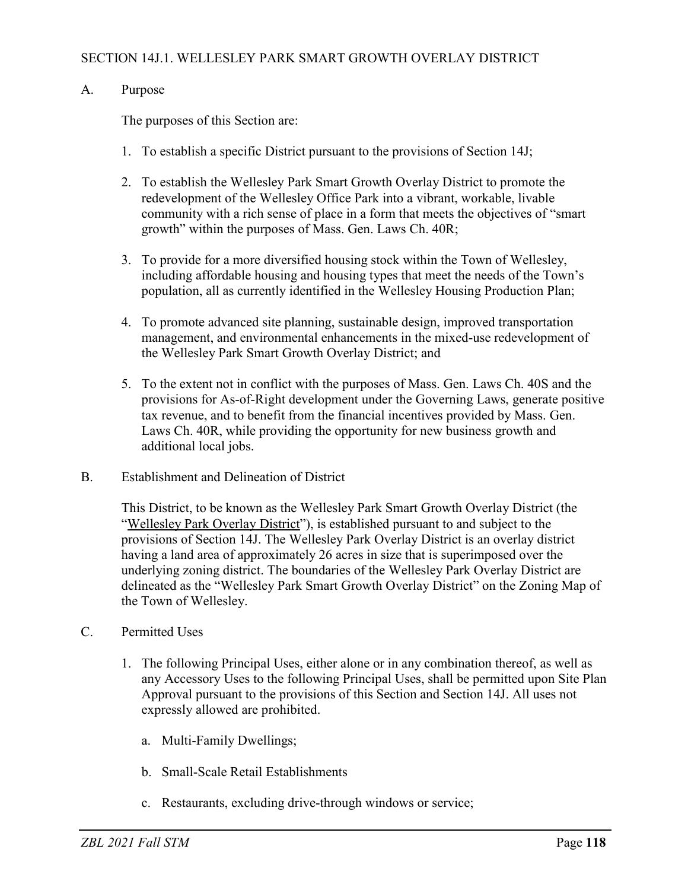#### SECTION 14J.1. WELLESLEY PARK SMART GROWTH OVERLAY DISTRICT

#### A. Purpose

The purposes of this Section are:

- 1. To establish a specific District pursuant to the provisions of Section 14J;
- 2. To establish the Wellesley Park Smart Growth Overlay District to promote the redevelopment of the Wellesley Office Park into a vibrant, workable, livable community with a rich sense of place in a form that meets the objectives of "smart growth" within the purposes of Mass. Gen. Laws Ch. 40R;
- 3. To provide for a more diversified housing stock within the Town of Wellesley, including affordable housing and housing types that meet the needs of the Town's population, all as currently identified in the Wellesley Housing Production Plan;
- 4. To promote advanced site planning, sustainable design, improved transportation management, and environmental enhancements in the mixed-use redevelopment of the Wellesley Park Smart Growth Overlay District; and
- 5. To the extent not in conflict with the purposes of Mass. Gen. Laws Ch. 40S and the provisions for As-of-Right development under the Governing Laws, generate positive tax revenue, and to benefit from the financial incentives provided by Mass. Gen. Laws Ch. 40R, while providing the opportunity for new business growth and additional local jobs.
- B. Establishment and Delineation of District

This District, to be known as the Wellesley Park Smart Growth Overlay District (the "Wellesley Park Overlay District"), is established pursuant to and subject to the provisions of Section 14J. The Wellesley Park Overlay District is an overlay district having a land area of approximately 26 acres in size that is superimposed over the underlying zoning district. The boundaries of the Wellesley Park Overlay District are delineated as the "Wellesley Park Smart Growth Overlay District" on the Zoning Map of the Town of Wellesley.

#### C. Permitted Uses

- 1. The following Principal Uses, either alone or in any combination thereof, as well as any Accessory Uses to the following Principal Uses, shall be permitted upon Site Plan Approval pursuant to the provisions of this Section and Section 14J. All uses not expressly allowed are prohibited.
	- a. Multi-Family Dwellings;
	- b. Small-Scale Retail Establishments
	- c. Restaurants, excluding drive-through windows or service;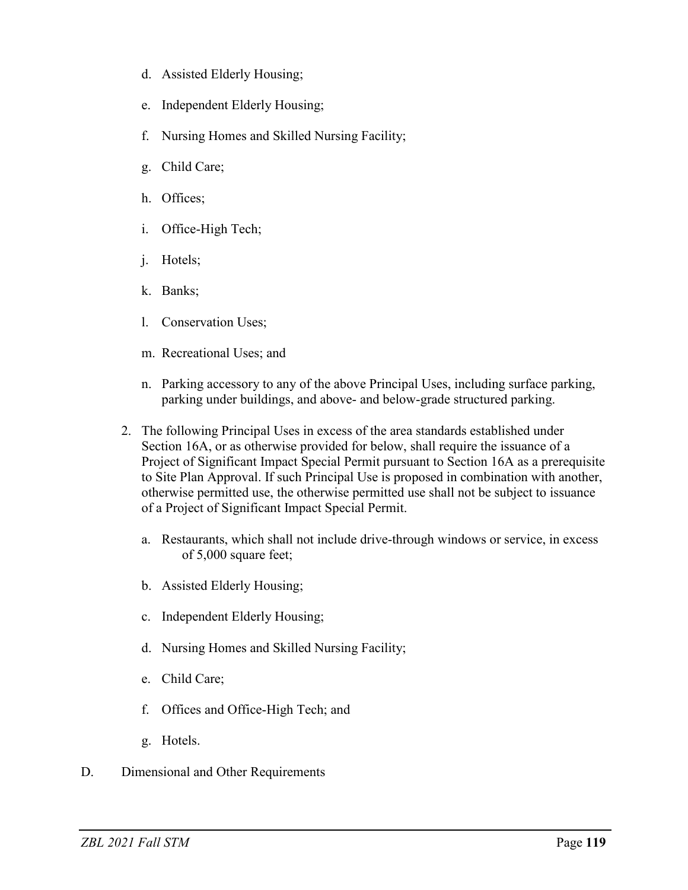- d. Assisted Elderly Housing;
- e. Independent Elderly Housing;
- f. Nursing Homes and Skilled Nursing Facility;
- g. Child Care;
- h. Offices;
- i. Office-High Tech;
- j. Hotels;
- k. Banks;
- l. Conservation Uses;
- m. Recreational Uses; and
- n. Parking accessory to any of the above Principal Uses, including surface parking, parking under buildings, and above- and below-grade structured parking.
- 2. The following Principal Uses in excess of the area standards established under Section 16A, or as otherwise provided for below, shall require the issuance of a Project of Significant Impact Special Permit pursuant to Section 16A as a prerequisite to Site Plan Approval. If such Principal Use is proposed in combination with another, otherwise permitted use, the otherwise permitted use shall not be subject to issuance of a Project of Significant Impact Special Permit.
	- a. Restaurants, which shall not include drive-through windows or service, in excess of 5,000 square feet;
	- b. Assisted Elderly Housing;
	- c. Independent Elderly Housing;
	- d. Nursing Homes and Skilled Nursing Facility;
	- e. Child Care;
	- f. Offices and Office-High Tech; and
	- g. Hotels.
- D. Dimensional and Other Requirements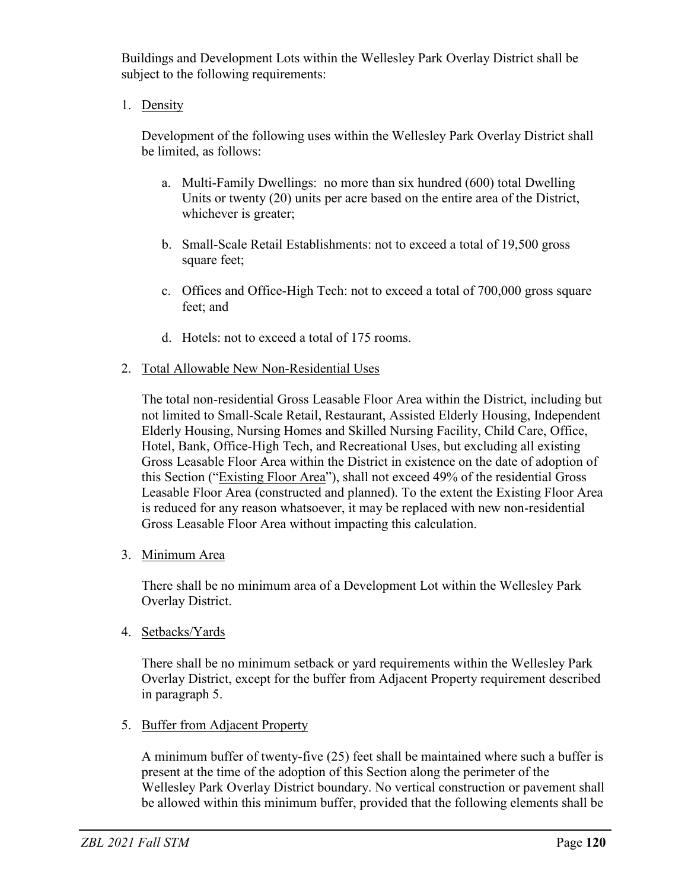Buildings and Development Lots within the Wellesley Park Overlay District shall be subject to the following requirements:

1. Density

Development of the following uses within the Wellesley Park Overlay District shall be limited, as follows:

- a. Multi-Family Dwellings: no more than six hundred (600) total Dwelling Units or twenty (20) units per acre based on the entire area of the District, whichever is greater;
- b. Small-Scale Retail Establishments: not to exceed a total of 19,500 gross square feet;
- c. Offices and Office-High Tech: not to exceed a total of 700,000 gross square feet; and
- d. Hotels: not to exceed a total of 175 rooms.
- 2. Total Allowable New Non-Residential Uses

The total non-residential Gross Leasable Floor Area within the District, including but not limited to Small-Scale Retail, Restaurant, Assisted Elderly Housing, Independent Elderly Housing, Nursing Homes and Skilled Nursing Facility, Child Care, Office, Hotel, Bank, Office-High Tech, and Recreational Uses, but excluding all existing Gross Leasable Floor Area within the District in existence on the date of adoption of this Section ("Existing Floor Area"), shall not exceed 49% of the residential Gross Leasable Floor Area (constructed and planned). To the extent the Existing Floor Area is reduced for any reason whatsoever, it may be replaced with new non-residential Gross Leasable Floor Area without impacting this calculation.

3. Minimum Area

There shall be no minimum area of a Development Lot within the Wellesley Park Overlay District.

4. Setbacks/Yards

There shall be no minimum setback or yard requirements within the Wellesley Park Overlay District, except for the buffer from Adjacent Property requirement described in paragraph 5.

5. Buffer from Adjacent Property

A minimum buffer of twenty-five (25) feet shall be maintained where such a buffer is present at the time of the adoption of this Section along the perimeter of the Wellesley Park Overlay District boundary. No vertical construction or pavement shall be allowed within this minimum buffer, provided that the following elements shall be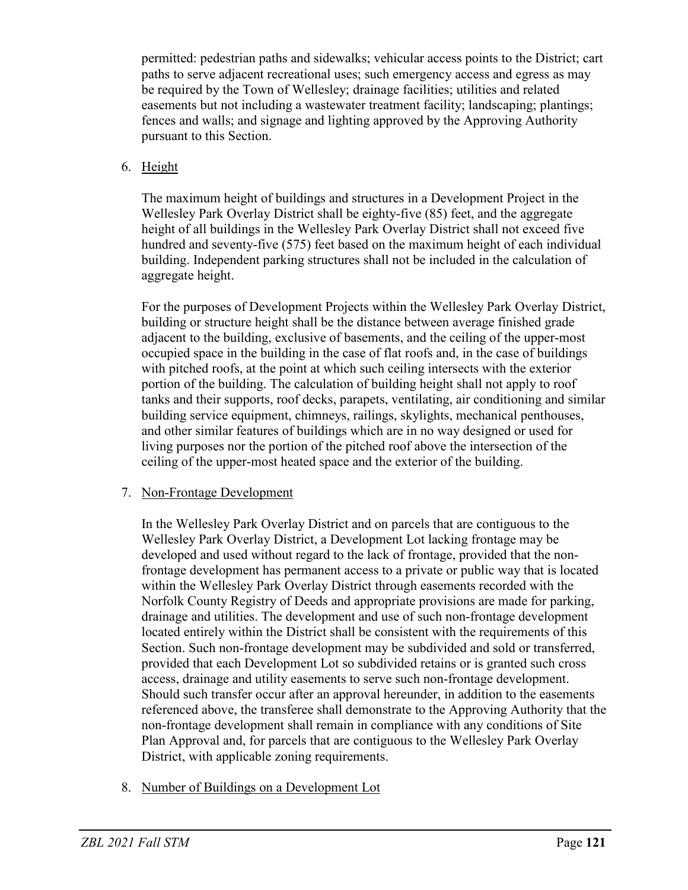permitted: pedestrian paths and sidewalks; vehicular access points to the District; cart paths to serve adjacent recreational uses; such emergency access and egress as may be required by the Town of Wellesley; drainage facilities; utilities and related easements but not including a wastewater treatment facility; landscaping; plantings; fences and walls; and signage and lighting approved by the Approving Authority pursuant to this Section.

# 6. Height

The maximum height of buildings and structures in a Development Project in the Wellesley Park Overlay District shall be eighty-five (85) feet, and the aggregate height of all buildings in the Wellesley Park Overlay District shall not exceed five hundred and seventy-five (575) feet based on the maximum height of each individual building. Independent parking structures shall not be included in the calculation of aggregate height.

For the purposes of Development Projects within the Wellesley Park Overlay District, building or structure height shall be the distance between average finished grade adjacent to the building, exclusive of basements, and the ceiling of the upper-most occupied space in the building in the case of flat roofs and, in the case of buildings with pitched roofs, at the point at which such ceiling intersects with the exterior portion of the building. The calculation of building height shall not apply to roof tanks and their supports, roof decks, parapets, ventilating, air conditioning and similar building service equipment, chimneys, railings, skylights, mechanical penthouses, and other similar features of buildings which are in no way designed or used for living purposes nor the portion of the pitched roof above the intersection of the ceiling of the upper-most heated space and the exterior of the building.

### 7. Non-Frontage Development

In the Wellesley Park Overlay District and on parcels that are contiguous to the Wellesley Park Overlay District, a Development Lot lacking frontage may be developed and used without regard to the lack of frontage, provided that the nonfrontage development has permanent access to a private or public way that is located within the Wellesley Park Overlay District through easements recorded with the Norfolk County Registry of Deeds and appropriate provisions are made for parking, drainage and utilities. The development and use of such non-frontage development located entirely within the District shall be consistent with the requirements of this Section. Such non-frontage development may be subdivided and sold or transferred, provided that each Development Lot so subdivided retains or is granted such cross access, drainage and utility easements to serve such non-frontage development. Should such transfer occur after an approval hereunder, in addition to the easements referenced above, the transferee shall demonstrate to the Approving Authority that the non-frontage development shall remain in compliance with any conditions of Site Plan Approval and, for parcels that are contiguous to the Wellesley Park Overlay District, with applicable zoning requirements.

8. Number of Buildings on a Development Lot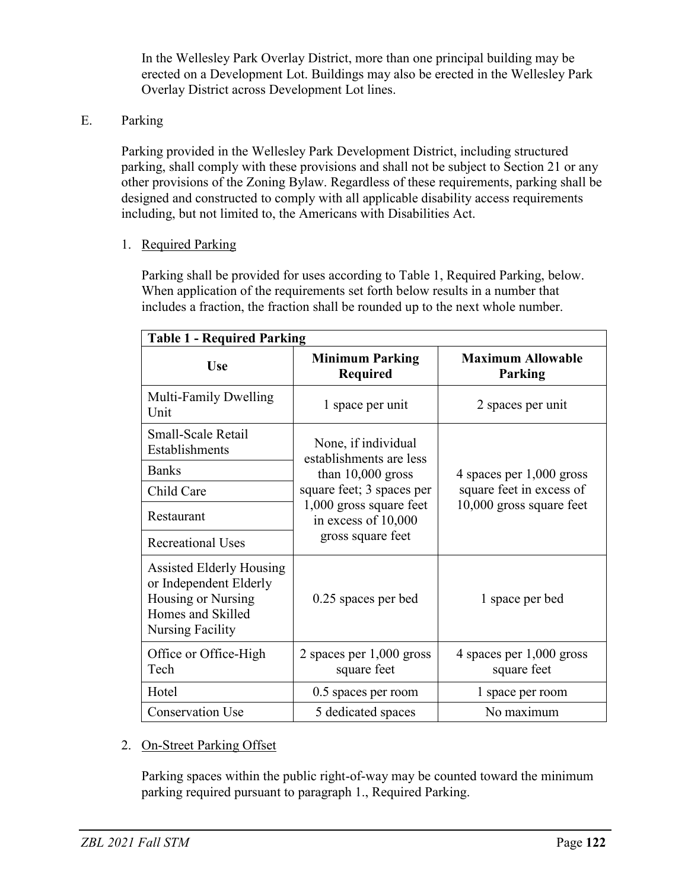In the Wellesley Park Overlay District, more than one principal building may be erected on a Development Lot. Buildings may also be erected in the Wellesley Park Overlay District across Development Lot lines.

### E. Parking

Parking provided in the Wellesley Park Development District, including structured parking, shall comply with these provisions and shall not be subject to Section 21 or any other provisions of the Zoning Bylaw. Regardless of these requirements, parking shall be designed and constructed to comply with all applicable disability access requirements including, but not limited to, the Americans with Disabilities Act.

1. Required Parking

Parking shall be provided for uses according to Table 1, Required Parking, below. When application of the requirements set forth below results in a number that includes a fraction, the fraction shall be rounded up to the next whole number.

| <b>Table 1 - Required Parking</b>                                                                                        |                                                                                                                                                                           |                                                                                  |
|--------------------------------------------------------------------------------------------------------------------------|---------------------------------------------------------------------------------------------------------------------------------------------------------------------------|----------------------------------------------------------------------------------|
| <b>Use</b>                                                                                                               | <b>Minimum Parking</b><br><b>Required</b>                                                                                                                                 | <b>Maximum Allowable</b><br>Parking                                              |
| Multi-Family Dwelling<br>Unit                                                                                            | 1 space per unit                                                                                                                                                          | 2 spaces per unit                                                                |
| Small-Scale Retail<br>Establishments                                                                                     | None, if individual<br>establishments are less<br>than $10,000$ gross<br>square feet; 3 spaces per<br>1,000 gross square feet<br>in excess of 10,000<br>gross square feet | 4 spaces per 1,000 gross<br>square feet in excess of<br>10,000 gross square feet |
| <b>Banks</b>                                                                                                             |                                                                                                                                                                           |                                                                                  |
| Child Care                                                                                                               |                                                                                                                                                                           |                                                                                  |
| Restaurant                                                                                                               |                                                                                                                                                                           |                                                                                  |
| <b>Recreational Uses</b>                                                                                                 |                                                                                                                                                                           |                                                                                  |
| Assisted Elderly Housing<br>or Independent Elderly<br>Housing or Nursing<br>Homes and Skilled<br><b>Nursing Facility</b> | 0.25 spaces per bed                                                                                                                                                       | 1 space per bed                                                                  |
| Office or Office-High<br>Tech                                                                                            | 2 spaces per $1,000$ gross<br>square feet                                                                                                                                 | 4 spaces per $1,000$ gross<br>square feet                                        |
| Hotel                                                                                                                    | 0.5 spaces per room                                                                                                                                                       | 1 space per room                                                                 |
| <b>Conservation Use</b>                                                                                                  | 5 dedicated spaces                                                                                                                                                        | No maximum                                                                       |

### 2. On-Street Parking Offset

Parking spaces within the public right-of-way may be counted toward the minimum parking required pursuant to paragraph 1., Required Parking.